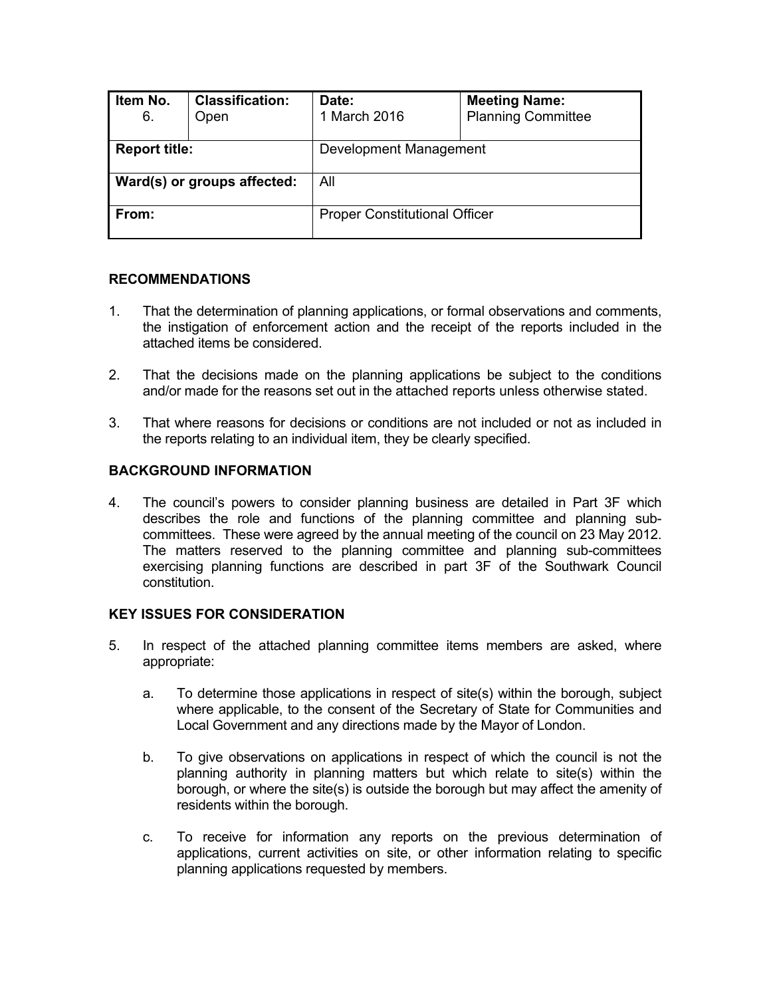| Item No.<br>6.              | <b>Classification:</b><br>Open | Date:<br>1 March 2016                | <b>Meeting Name:</b><br><b>Planning Committee</b> |  |
|-----------------------------|--------------------------------|--------------------------------------|---------------------------------------------------|--|
| <b>Report title:</b>        |                                | Development Management               |                                                   |  |
| Ward(s) or groups affected: |                                | All                                  |                                                   |  |
| From:                       |                                | <b>Proper Constitutional Officer</b> |                                                   |  |

## **RECOMMENDATIONS**

- 1. That the determination of planning applications, or formal observations and comments, the instigation of enforcement action and the receipt of the reports included in the attached items be considered.
- 2. That the decisions made on the planning applications be subject to the conditions and/or made for the reasons set out in the attached reports unless otherwise stated.
- 3. That where reasons for decisions or conditions are not included or not as included in the reports relating to an individual item, they be clearly specified.

# **BACKGROUND INFORMATION**

4. The council's powers to consider planning business are detailed in Part 3F which describes the role and functions of the planning committee and planning subcommittees. These were agreed by the annual meeting of the council on 23 May 2012. The matters reserved to the planning committee and planning sub-committees exercising planning functions are described in part 3F of the Southwark Council constitution.

### **KEY ISSUES FOR CONSIDERATION**

- 5. In respect of the attached planning committee items members are asked, where appropriate:
	- a. To determine those applications in respect of site(s) within the borough, subject where applicable, to the consent of the Secretary of State for Communities and Local Government and any directions made by the Mayor of London.
	- b. To give observations on applications in respect of which the council is not the planning authority in planning matters but which relate to site(s) within the borough, or where the site(s) is outside the borough but may affect the amenity of residents within the borough.
	- c. To receive for information any reports on the previous determination of applications, current activities on site, or other information relating to specific planning applications requested by members.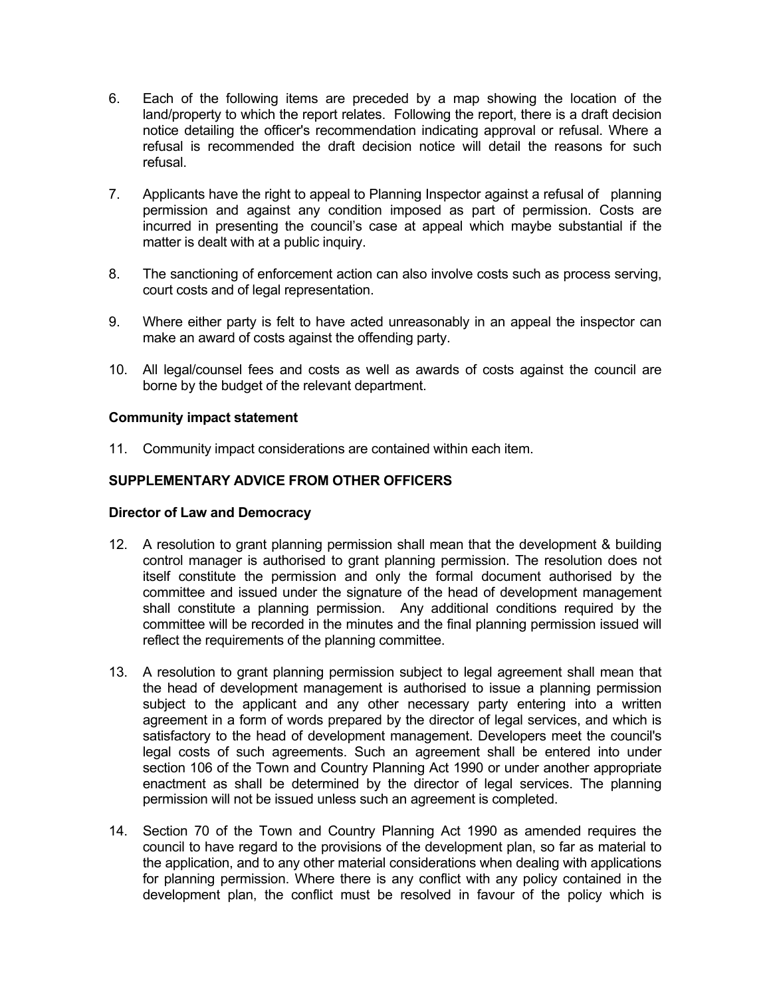- 6. Each of the following items are preceded by a map showing the location of the land/property to which the report relates. Following the report, there is a draft decision notice detailing the officer's recommendation indicating approval or refusal. Where a refusal is recommended the draft decision notice will detail the reasons for such refusal.
- 7. Applicants have the right to appeal to Planning Inspector against a refusal of planning permission and against any condition imposed as part of permission. Costs are incurred in presenting the council's case at appeal which maybe substantial if the matter is dealt with at a public inquiry.
- 8. The sanctioning of enforcement action can also involve costs such as process serving, court costs and of legal representation.
- 9. Where either party is felt to have acted unreasonably in an appeal the inspector can make an award of costs against the offending party.
- 10. All legal/counsel fees and costs as well as awards of costs against the council are borne by the budget of the relevant department.

## **Community impact statement**

11. Community impact considerations are contained within each item.

# **SUPPLEMENTARY ADVICE FROM OTHER OFFICERS**

### **Director of Law and Democracy**

- 12. A resolution to grant planning permission shall mean that the development & building control manager is authorised to grant planning permission. The resolution does not itself constitute the permission and only the formal document authorised by the committee and issued under the signature of the head of development management shall constitute a planning permission. Any additional conditions required by the committee will be recorded in the minutes and the final planning permission issued will reflect the requirements of the planning committee.
- 13. A resolution to grant planning permission subject to legal agreement shall mean that the head of development management is authorised to issue a planning permission subject to the applicant and any other necessary party entering into a written agreement in a form of words prepared by the director of legal services, and which is satisfactory to the head of development management. Developers meet the council's legal costs of such agreements. Such an agreement shall be entered into under section 106 of the Town and Country Planning Act 1990 or under another appropriate enactment as shall be determined by the director of legal services. The planning permission will not be issued unless such an agreement is completed.
- 14. Section 70 of the Town and Country Planning Act 1990 as amended requires the council to have regard to the provisions of the development plan, so far as material to the application, and to any other material considerations when dealing with applications for planning permission. Where there is any conflict with any policy contained in the development plan, the conflict must be resolved in favour of the policy which is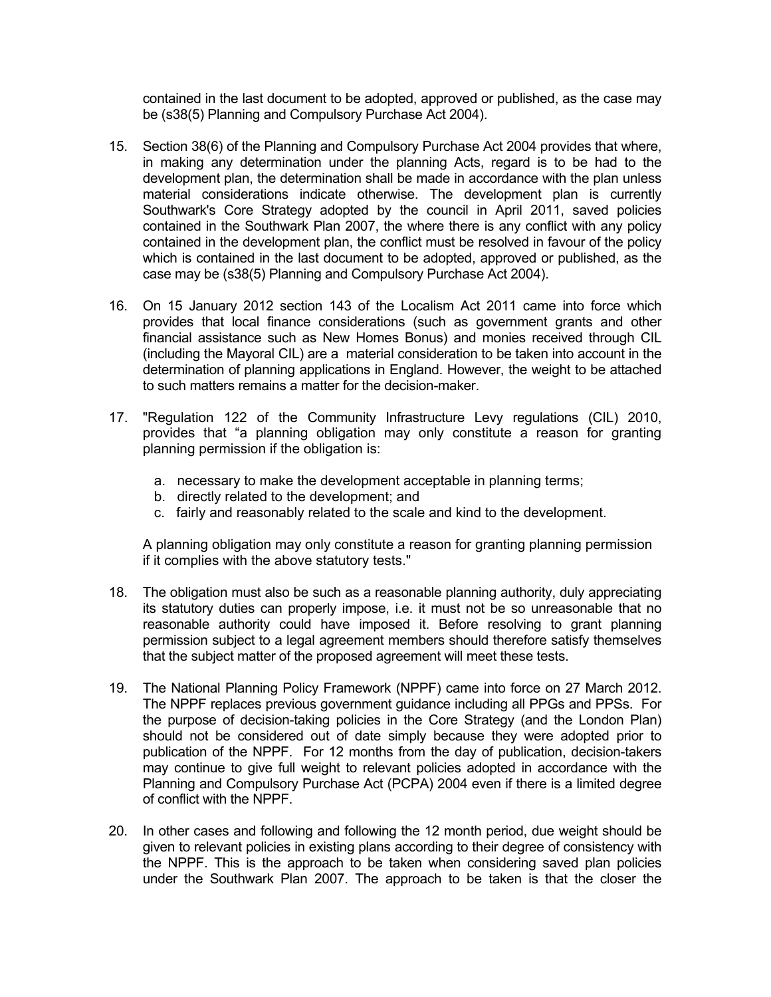contained in the last document to be adopted, approved or published, as the case may be (s38(5) Planning and Compulsory Purchase Act 2004).

- 15. Section 38(6) of the Planning and Compulsory Purchase Act 2004 provides that where, in making any determination under the planning Acts, regard is to be had to the development plan, the determination shall be made in accordance with the plan unless material considerations indicate otherwise. The development plan is currently Southwark's Core Strategy adopted by the council in April 2011, saved policies contained in the Southwark Plan 2007, the where there is any conflict with any policy contained in the development plan, the conflict must be resolved in favour of the policy which is contained in the last document to be adopted, approved or published, as the case may be (s38(5) Planning and Compulsory Purchase Act 2004).
- 16. On 15 January 2012 section 143 of the Localism Act 2011 came into force which provides that local finance considerations (such as government grants and other financial assistance such as New Homes Bonus) and monies received through CIL (including the Mayoral CIL) are a material consideration to be taken into account in the determination of planning applications in England. However, the weight to be attached to such matters remains a matter for the decision-maker.
- 17. "Regulation 122 of the Community Infrastructure Levy regulations (CIL) 2010, provides that "a planning obligation may only constitute a reason for granting planning permission if the obligation is:
	- a. necessary to make the development acceptable in planning terms;
	- b. directly related to the development; and
	- c. fairly and reasonably related to the scale and kind to the development.

A planning obligation may only constitute a reason for granting planning permission if it complies with the above statutory tests."

- 18. The obligation must also be such as a reasonable planning authority, duly appreciating its statutory duties can properly impose, i.e. it must not be so unreasonable that no reasonable authority could have imposed it. Before resolving to grant planning permission subject to a legal agreement members should therefore satisfy themselves that the subject matter of the proposed agreement will meet these tests.
- 19. The National Planning Policy Framework (NPPF) came into force on 27 March 2012. The NPPF replaces previous government guidance including all PPGs and PPSs. For the purpose of decision-taking policies in the Core Strategy (and the London Plan) should not be considered out of date simply because they were adopted prior to publication of the NPPF. For 12 months from the day of publication, decision-takers may continue to give full weight to relevant policies adopted in accordance with the Planning and Compulsory Purchase Act (PCPA) 2004 even if there is a limited degree of conflict with the NPPF.
- 20. In other cases and following and following the 12 month period, due weight should be given to relevant policies in existing plans according to their degree of consistency with the NPPF. This is the approach to be taken when considering saved plan policies under the Southwark Plan 2007. The approach to be taken is that the closer the